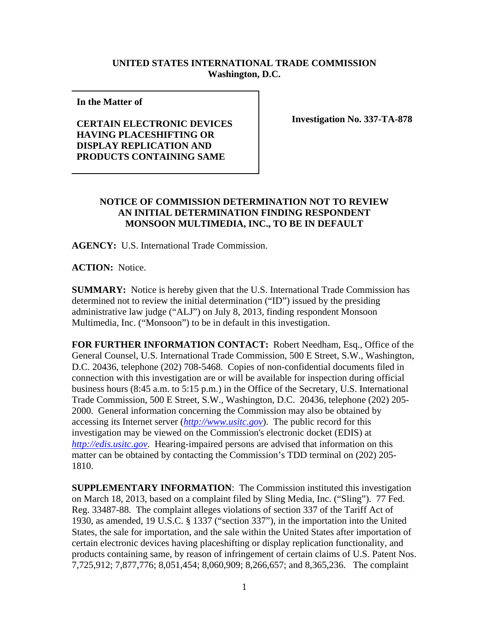## **UNITED STATES INTERNATIONAL TRADE COMMISSION Washington, D.C.**

**In the Matter of** 

## **CERTAIN ELECTRONIC DEVICES HAVING PLACESHIFTING OR DISPLAY REPLICATION AND PRODUCTS CONTAINING SAME**

**Investigation No. 337-TA-878**

## **NOTICE OF COMMISSION DETERMINATION NOT TO REVIEW AN INITIAL DETERMINATION FINDING RESPONDENT MONSOON MULTIMEDIA, INC., TO BE IN DEFAULT**

**AGENCY:** U.S. International Trade Commission.

**ACTION:** Notice.

**SUMMARY:** Notice is hereby given that the U.S. International Trade Commission has determined not to review the initial determination ("ID") issued by the presiding administrative law judge ("ALJ") on July 8, 2013, finding respondent Monsoon Multimedia, Inc. ("Monsoon") to be in default in this investigation.

**FOR FURTHER INFORMATION CONTACT:** Robert Needham, Esq., Office of the General Counsel, U.S. International Trade Commission, 500 E Street, S.W., Washington, D.C. 20436, telephone (202) 708-5468. Copies of non-confidential documents filed in connection with this investigation are or will be available for inspection during official business hours (8:45 a.m. to 5:15 p.m.) in the Office of the Secretary, U.S. International Trade Commission, 500 E Street, S.W., Washington, D.C. 20436, telephone (202) 205- 2000. General information concerning the Commission may also be obtained by accessing its Internet server (*http://www.usitc.gov*). The public record for this investigation may be viewed on the Commission's electronic docket (EDIS) at *http://edis.usitc.gov*. Hearing-impaired persons are advised that information on this matter can be obtained by contacting the Commission's TDD terminal on (202) 205- 1810.

**SUPPLEMENTARY INFORMATION**: The Commission instituted this investigation on March 18, 2013, based on a complaint filed by Sling Media, Inc. ("Sling"). 77 Fed. Reg. 33487-88. The complaint alleges violations of section 337 of the Tariff Act of 1930, as amended, 19 U.S.C. § 1337 ("section 337"), in the importation into the United States, the sale for importation, and the sale within the United States after importation of certain electronic devices having placeshifting or display replication functionality, and products containing same, by reason of infringement of certain claims of U.S. Patent Nos. 7,725,912; 7,877,776; 8,051,454; 8,060,909; 8,266,657; and 8,365,236. The complaint